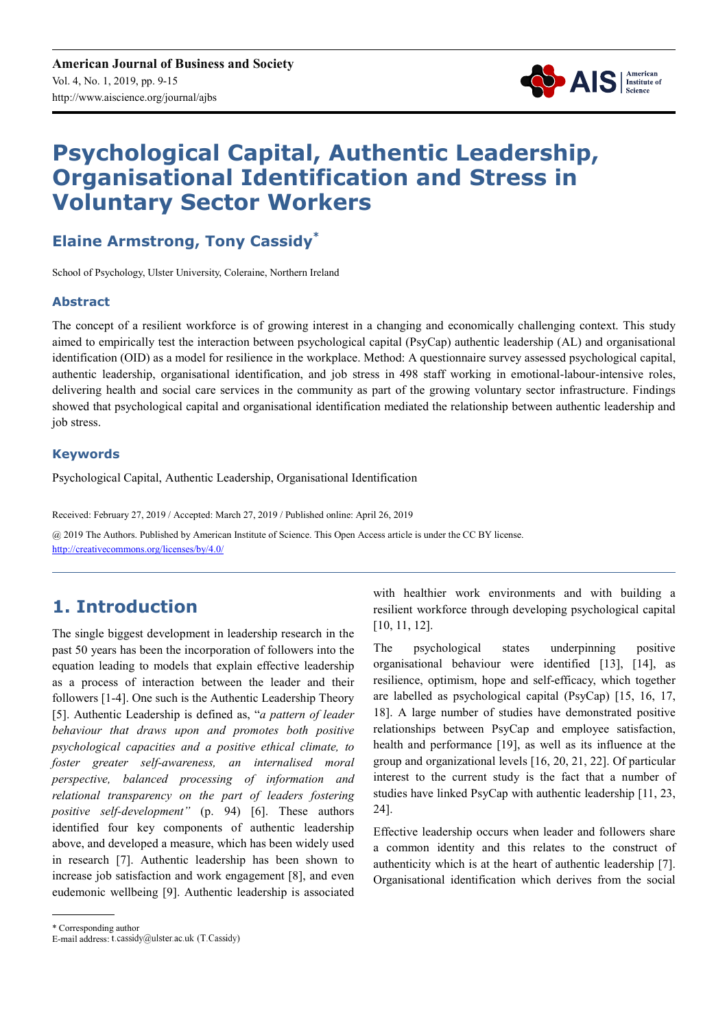

# **Psychological Capital, Authentic Leadership, Organisational Identification and Stress in Voluntary Sector Workers**

**Elaine Armstrong, Tony Cassidy\***

School of Psychology, Ulster University, Coleraine, Northern Ireland

#### **Abstract**

The concept of a resilient workforce is of growing interest in a changing and economically challenging context. This study aimed to empirically test the interaction between psychological capital (PsyCap) authentic leadership (AL) and organisational identification (OID) as a model for resilience in the workplace. Method: A questionnaire survey assessed psychological capital, authentic leadership, organisational identification, and job stress in 498 staff working in emotional-labour-intensive roles, delivering health and social care services in the community as part of the growing voluntary sector infrastructure. Findings showed that psychological capital and organisational identification mediated the relationship between authentic leadership and job stress.

#### **Keywords**

Psychological Capital, Authentic Leadership, Organisational Identification

Received: February 27, 2019 / Accepted: March 27, 2019 / Published online: April 26, 2019

@ 2019 The Authors. Published by American Institute of Science. This Open Access article is under the CC BY license. http://creativecommons.org/licenses/by/4.0/

## **1. Introduction**

The single biggest development in leadership research in the past 50 years has been the incorporation of followers into the equation leading to models that explain effective leadership as a process of interaction between the leader and their followers [1-4]. One such is the Authentic Leadership Theory [5]. Authentic Leadership is defined as, "*a pattern of leader behaviour that draws upon and promotes both positive psychological capacities and a positive ethical climate, to foster greater self-awareness, an internalised moral perspective, balanced processing of information and relational transparency on the part of leaders fostering positive self-development"* (p. 94) [6]. These authors identified four key components of authentic leadership above, and developed a measure, which has been widely used in research [7]. Authentic leadership has been shown to increase job satisfaction and work engagement [8], and even eudemonic wellbeing [9]. Authentic leadership is associated with healthier work environments and with building a resilient workforce through developing psychological capital [10, 11, 12].

The psychological states underpinning positive organisational behaviour were identified [13], [14], as resilience, optimism, hope and self-efficacy, which together are labelled as psychological capital (PsyCap) [15, 16, 17, 18]. A large number of studies have demonstrated positive relationships between PsyCap and employee satisfaction, health and performance [19], as well as its influence at the group and organizational levels [16, 20, 21, 22]. Of particular interest to the current study is the fact that a number of studies have linked PsyCap with authentic leadership [11, 23, 24].

Effective leadership occurs when leader and followers share a common identity and this relates to the construct of authenticity which is at the heart of authentic leadership [7]. Organisational identification which derives from the social

\* Corresponding author

E-mail address: t.cassidy@ulster.ac.uk (T.Cassidy)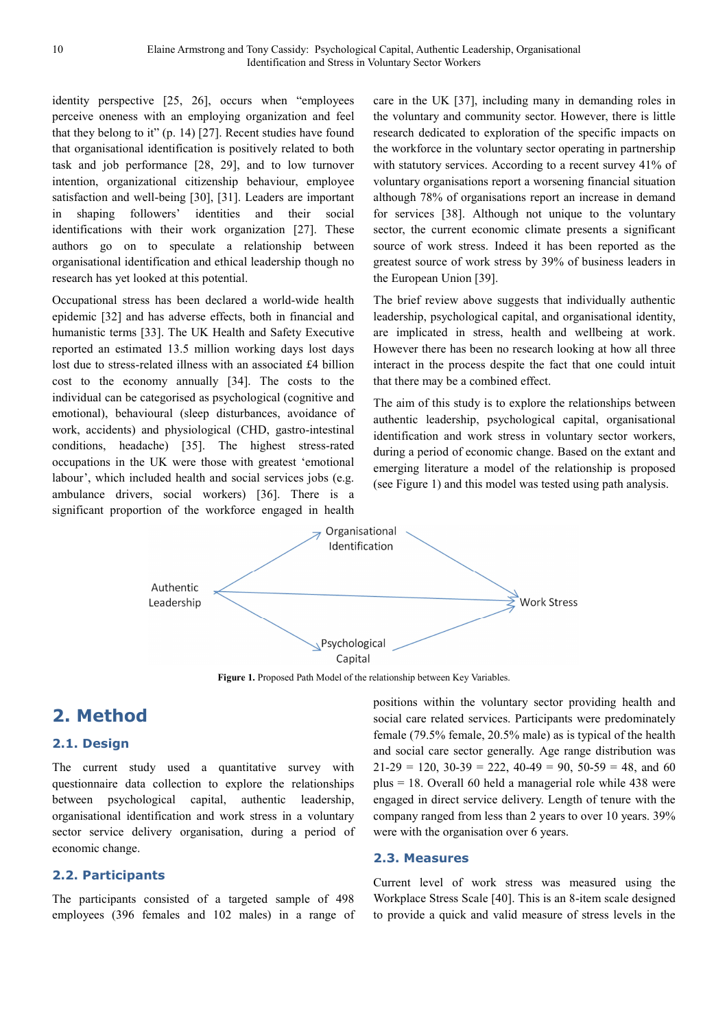identity perspective [25, 26], occurs when "employees perceive oneness with an employing organization and feel that they belong to it" (p. 14) [27]. Recent studies have found that organisational identification is positively related to both task and job performance [28, 29], and to low turnover intention, organizational citizenship behaviour, employee satisfaction and well-being [30], [31]. Leaders are important in shaping followers' identities and their social identifications with their work organization [27]. These authors go on to speculate a relationship between organisational identification and ethical leadership though no research has yet looked at this potential.

Occupational stress has been declared a world-wide health epidemic [32] and has adverse effects, both in financial and humanistic terms [33]. The UK Health and Safety Executive reported an estimated 13.5 million working days lost days lost due to stress-related illness with an associated £4 billion cost to the economy annually [34]. The costs to the individual can be categorised as psychological (cognitive and emotional), behavioural (sleep disturbances, avoidance of work, accidents) and physiological (CHD, gastro-intestinal conditions, headache) [35]. The highest stress-rated occupations in the UK were those with greatest 'emotional labour', which included health and social services jobs (e.g. ambulance drivers, social workers) [36]. There is a significant proportion of the workforce engaged in health

care in the UK [37], including many in demanding roles in the voluntary and community sector. However, there is little research dedicated to exploration of the specific impacts on the workforce in the voluntary sector operating in partnership with statutory services. According to a recent survey 41% of voluntary organisations report a worsening financial situation although 78% of organisations report an increase in demand for services [38]. Although not unique to the voluntary sector, the current economic climate presents a significant source of work stress. Indeed it has been reported as the greatest source of work stress by 39% of business leaders in the European Union [39].

The brief review above suggests that individually authentic leadership, psychological capital, and organisational identity, are implicated in stress, health and wellbeing at work. However there has been no research looking at how all three interact in the process despite the fact that one could intuit that there may be a combined effect.

The aim of this study is to explore the relationships between authentic leadership, psychological capital, organisational identification and work stress in voluntary sector workers, during a period of economic change. Based on the extant and emerging literature a model of the relationship is proposed (see Figure 1) and this model was tested using path analysis.



Figure 1. Proposed Path Model of the relationship between Key Variables.

### **2. Method**

#### **2.1. Design**

The current study used a quantitative survey with questionnaire data collection to explore the relationships between psychological capital, authentic leadership, organisational identification and work stress in a voluntary sector service delivery organisation, during a period of economic change.

#### **2.2. Participants**

The participants consisted of a targeted sample of 498 employees (396 females and 102 males) in a range of positions within the voluntary sector providing health and social care related services. Participants were predominately female (79.5% female, 20.5% male) as is typical of the health and social care sector generally. Age range distribution was  $21-29 = 120$ ,  $30-39 = 222$ ,  $40-49 = 90$ ,  $50-59 = 48$ , and 60 plus = 18. Overall 60 held a managerial role while 438 were engaged in direct service delivery. Length of tenure with the company ranged from less than 2 years to over 10 years. 39% were with the organisation over 6 years.

#### **2.3. Measures**

Current level of work stress was measured using the Workplace Stress Scale [40]. This is an 8-item scale designed to provide a quick and valid measure of stress levels in the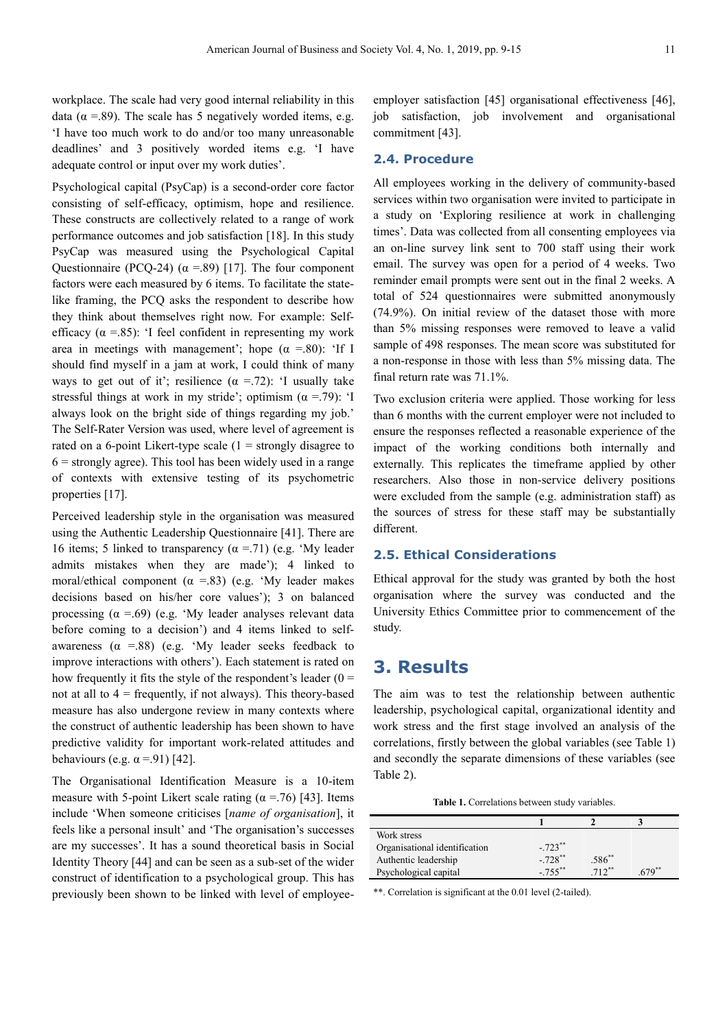workplace. The scale had very good internal reliability in this data ( $\alpha$  =.89). The scale has 5 negatively worded items, e.g. 'I have too much work to do and/or too many unreasonable deadlines' and 3 positively worded items e.g. 'I have adequate control or input over my work duties'.

Psychological capital (PsyCap) is a second-order core factor consisting of self-efficacy, optimism, hope and resilience. These constructs are collectively related to a range of work performance outcomes and job satisfaction [18]. In this study PsyCap was measured using the Psychological Capital Questionnaire (PCQ-24) ( $\alpha$  =.89) [17]. The four component factors were each measured by 6 items. To facilitate the statelike framing, the PCQ asks the respondent to describe how they think about themselves right now. For example: Selfefficacy ( $\alpha$  =.85): 'I feel confident in representing my work area in meetings with management'; hope  $(\alpha = .80)$ : 'If I should find myself in a jam at work, I could think of many ways to get out of it'; resilience  $(\alpha = .72)$ : 'I usually take stressful things at work in my stride'; optimism  $(\alpha = .79)$ : 'I always look on the bright side of things regarding my job.' The Self-Rater Version was used, where level of agreement is rated on a 6-point Likert-type scale  $(1 =$  strongly disagree to  $6 =$  strongly agree). This tool has been widely used in a range of contexts with extensive testing of its psychometric properties [17].

Perceived leadership style in the organisation was measured using the Authentic Leadership Questionnaire [41]. There are 16 items; 5 linked to transparency  $(\alpha = .71)$  (e.g. 'My leader admits mistakes when they are made'); 4 linked to moral/ethical component ( $\alpha$  =.83) (e.g. 'My leader makes decisions based on his/her core values'); 3 on balanced processing  $(\alpha = .69)$  (e.g. 'My leader analyses relevant data before coming to a decision') and 4 items linked to selfawareness  $(\alpha = .88)$  (e.g. 'My leader seeks feedback to improve interactions with others'). Each statement is rated on how frequently it fits the style of the respondent's leader  $(0 =$ not at all to  $4 = \text{frequently, if not always}.$  This theory-based measure has also undergone review in many contexts where the construct of authentic leadership has been shown to have predictive validity for important work-related attitudes and behaviours (e.g.  $\alpha$  =.91) [42].

The Organisational Identification Measure is a 10-item measure with 5-point Likert scale rating ( $\alpha$  =.76) [43]. Items include 'When someone criticises [*name of organisation*], it feels like a personal insult' and 'The organisation's successes are my successes'. It has a sound theoretical basis in Social Identity Theory [44] and can be seen as a sub-set of the wider construct of identification to a psychological group. This has previously been shown to be linked with level of employeeemployer satisfaction [45] organisational effectiveness [46], job satisfaction, job involvement and organisational commitment [43].

#### **2.4. Procedure**

All employees working in the delivery of community-based services within two organisation were invited to participate in a study on 'Exploring resilience at work in challenging times'. Data was collected from all consenting employees via an on-line survey link sent to 700 staff using their work email. The survey was open for a period of 4 weeks. Two reminder email prompts were sent out in the final 2 weeks. A total of 524 questionnaires were submitted anonymously (74.9%). On initial review of the dataset those with more than 5% missing responses were removed to leave a valid sample of 498 responses. The mean score was substituted for a non-response in those with less than 5% missing data. The final return rate was 71.1%.

Two exclusion criteria were applied. Those working for less than 6 months with the current employer were not included to ensure the responses reflected a reasonable experience of the impact of the working conditions both internally and externally. This replicates the timeframe applied by other researchers. Also those in non-service delivery positions were excluded from the sample (e.g. administration staff) as the sources of stress for these staff may be substantially different.

#### **2.5. Ethical Considerations**

Ethical approval for the study was granted by both the host organisation where the survey was conducted and the University Ethics Committee prior to commencement of the study.

### **3. Results**

The aim was to test the relationship between authentic leadership, psychological capital, organizational identity and work stress and the first stage involved an analysis of the correlations, firstly between the global variables (see Table 1) and secondly the separate dimensions of these variables (see Table 2).

Table 1. Correlations between study variables.

| Work stress                   |                      |             |         |
|-------------------------------|----------------------|-------------|---------|
| Organisational identification | $-723$ **            |             |         |
| Authentic leadership          | $-728$ <sup>**</sup> | $.586^{**}$ |         |
| Psychological capital         | $-755$ <sup>**</sup> | $712**$     | $679**$ |

\*\*. Correlation is significant at the 0.01 level (2-tailed).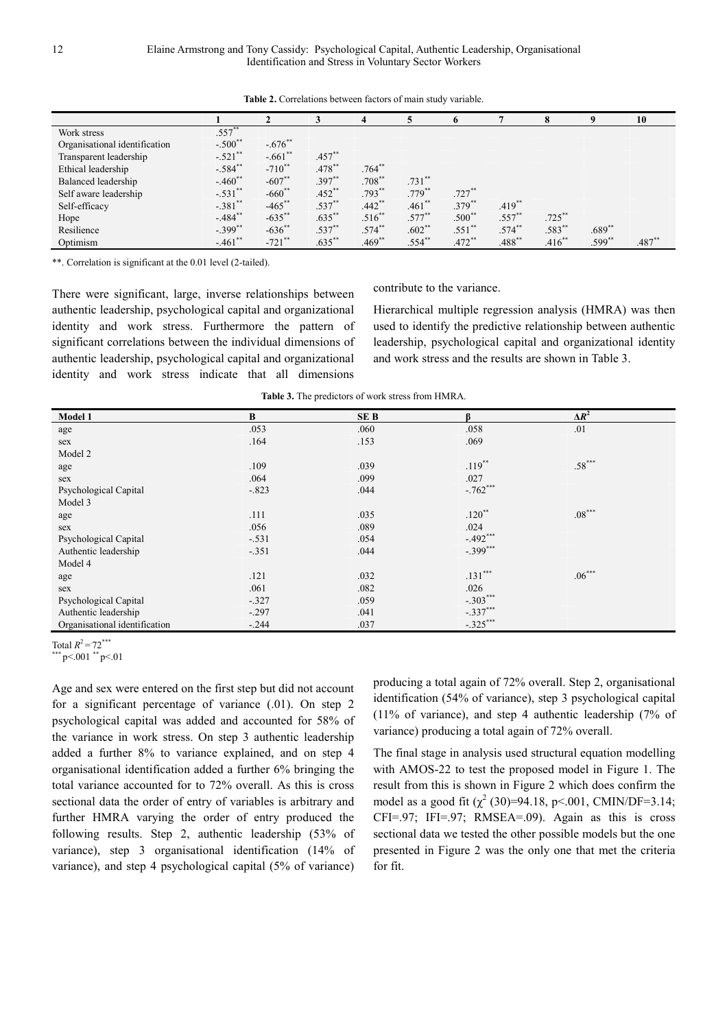|                               |                       |                       |           |             |           |             |           |           |          | 10       |
|-------------------------------|-----------------------|-----------------------|-----------|-------------|-----------|-------------|-----------|-----------|----------|----------|
| Work stress                   | $.557**$              |                       |           |             |           |             |           |           |          |          |
| Organisational identification | $-.500$ <sup>**</sup> | $-.676$ <sup>**</sup> |           |             |           |             |           |           |          |          |
| Transparent leadership        | $-.521$ **            | $-.661$ **            | $.457**$  |             |           |             |           |           |          |          |
| Ethical leadership            | $-.584$ *             | $-710^{**}$           | $.478$ ** | $.764$ **   |           |             |           |           |          |          |
| Balanced leadership           | $-.460$ <sup>**</sup> | $-607$ **             | $.397**$  | $.708***$   | $.731$ ** |             |           |           |          |          |
| Self aware leadership         | $-.531$ **            | $-660$ <sup>*</sup>   | $.452**$  | $.793***$   | $.779**$  | $.727**$    |           |           |          |          |
| Self-efficacy                 | $-.381$ **            | $-465$ **             | $.537**$  | $.442$ **   | $.461**$  | $.379^{**}$ | $.419**$  |           |          |          |
| Hope                          | $-.484$ <sup>**</sup> | $-635$ **             | $.635**$  | $.516^{**}$ | $.577***$ | $.500**$    | $.557**$  | $.725***$ |          |          |
| Resilience                    | $-.399$ **            | $-636$ **             | $.537**$  | $.574***$   | $.602**$  | $.551$ **   | $.574**$  | .583**    | $.689**$ |          |
| Optimism                      | $-.461$ **            | $-721$ **             | $.635**$  | $.469**$    | $.554**$  | $.472**$    | $.488$ ** | $.416**$  | $.599**$ | $.487**$ |

**Table 2.** Correlations between factors of main study variable.

\*\*. Correlation is significant at the 0.01 level (2-tailed).

There were significant, large, inverse relationships between authentic leadership, psychological capital and organizational identity and work stress. Furthermore the pattern of significant correlations between the individual dimensions of authentic leadership, psychological capital and organizational identity and work stress indicate that all dimensions

Hierarchical multiple regression analysis (HMRA) was then used to identify the predictive relationship between authentic leadership, psychological capital and organizational identity and work stress and the results are shown in Table 3.

contribute to the variance.

**Table 3.** The predictors of work stress from HMRA.

| Model 1                       | $\bf{B}$ | <b>SEB</b> | ß          | $\Delta R^2$         |  |
|-------------------------------|----------|------------|------------|----------------------|--|
| age                           | .053     | .060       | .058       | .01                  |  |
| sex                           | .164     | .153       | .069       |                      |  |
| Model 2                       |          |            |            |                      |  |
| age                           | .109     | .039       | $.119***$  | $.58***$             |  |
| sex                           | .064     | .099       | .027       |                      |  |
| Psychological Capital         | $-.823$  | .044       | $-.762***$ |                      |  |
| Model 3                       |          |            |            |                      |  |
| age                           | .111     | .035       | $.120**$   | $.08^{\ast\ast\ast}$ |  |
| sex                           | .056     | .089       | .024       |                      |  |
| Psychological Capital         | $-.531$  | .054       | $-.492***$ |                      |  |
| Authentic leadership          | $-.351$  | .044       | $-.399***$ |                      |  |
| Model 4                       |          |            |            |                      |  |
| age                           | .121     | .032       | $.131***$  | $.06***$             |  |
| sex                           | .061     | .082       | .026       |                      |  |
| Psychological Capital         | $-.327$  | .059       | $-.303***$ |                      |  |
| Authentic leadership          | $-.297$  | .041       | $-.337***$ |                      |  |
| Organisational identification | $-.244$  | .037       | $-.325***$ |                      |  |

Total  $R^2 = 72$ \*\*\*

 $p$  <.001  $p$  <.01

Age and sex were entered on the first step but did not account for a significant percentage of variance (.01). On step 2 psychological capital was added and accounted for 58% of the variance in work stress. On step 3 authentic leadership added a further 8% to variance explained, and on step 4 organisational identification added a further 6% bringing the total variance accounted for to 72% overall. As this is cross sectional data the order of entry of variables is arbitrary and further HMRA varying the order of entry produced the following results. Step 2, authentic leadership (53% of variance), step 3 organisational identification (14% of variance), and step 4 psychological capital (5% of variance) producing a total again of 72% overall. Step 2, organisational identification (54% of variance), step 3 psychological capital (11% of variance), and step 4 authentic leadership (7% of variance) producing a total again of 72% overall.

The final stage in analysis used structural equation modelling with AMOS-22 to test the proposed model in Figure 1. The result from this is shown in Figure 2 which does confirm the model as a good fit  $(\chi^2 (30)=94.18, \text{ p} < .001, \text{ CMIN}/\text{DF}=3.14;$  $CFI=.97$ ; IFI=.97; RMSEA=.09). Again as this is cross sectional data we tested the other possible models but the one presented in Figure 2 was the only one that met the criteria for fit.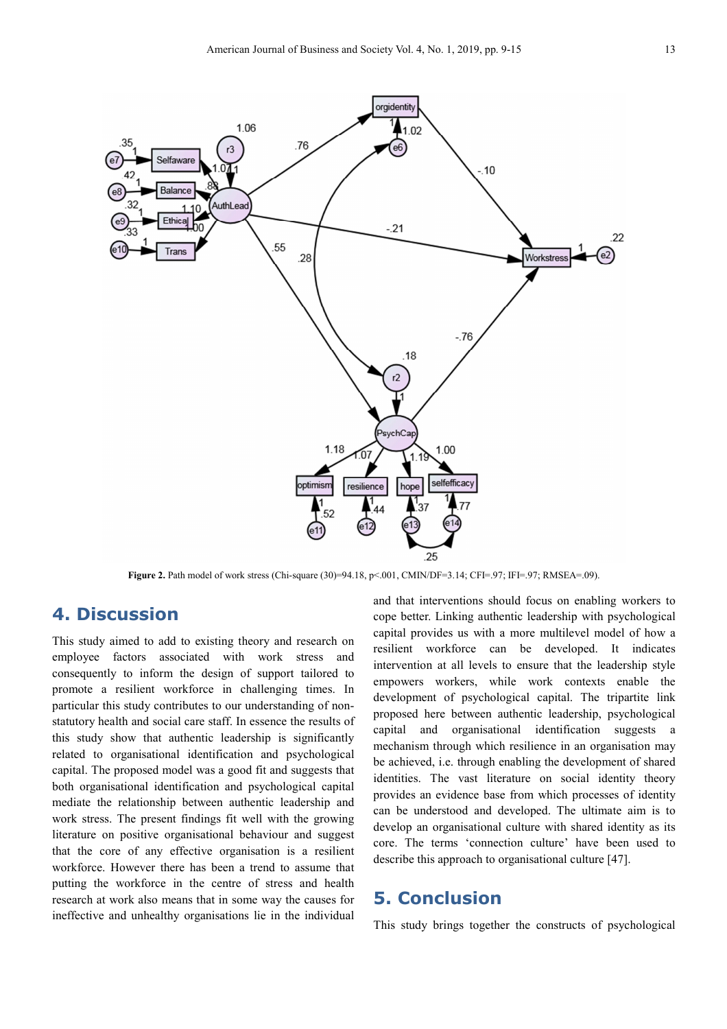

**Figure 2.** Path model of work stress (Chi-square (30)=94.18, p<.001, CMIN/DF=3.14; CFI=.97; IFI=.97; RMSEA=.09).

### **4. Discussion**

This study aimed to add to existing theory and research on employee factors associated with work stress and consequently to inform the design of support tailored to promote a resilient workforce in challenging times. In particular this study contributes to our understanding of nonstatutory health and social care staff. In essence the results of this study show that authentic leadership is significantly related to organisational identification and psychological capital. The proposed model was a good fit and suggests that both organisational identification and psychological capital mediate the relationship between authentic leadership and work stress. The present findings fit well with the growing literature on positive organisational behaviour and suggest that the core of any effective organisation is a resilient workforce. However there has been a trend to assume that putting the workforce in the centre of stress and health research at work also means that in some way the causes for ineffective and unhealthy organisations lie in the individual

and that interventions should focus on enabling workers to cope better. Linking authentic leadership with psychological capital provides us with a more multilevel model of how a resilient workforce can be developed. It indicates intervention at all levels to ensure that the leadership style empowers workers, while work contexts enable the development of psychological capital. The tripartite link proposed here between authentic leadership, psychological capital and organisational identification suggests a mechanism through which resilience in an organisation may be achieved, i.e. through enabling the development of shared identities. The vast literature on social identity theory provides an evidence base from which processes of identity can be understood and developed. The ultimate aim is to develop an organisational culture with shared identity as its core. The terms 'connection culture' have been used to describe this approach to organisational culture [47].

### **5. Conclusion**

This study brings together the constructs of psychological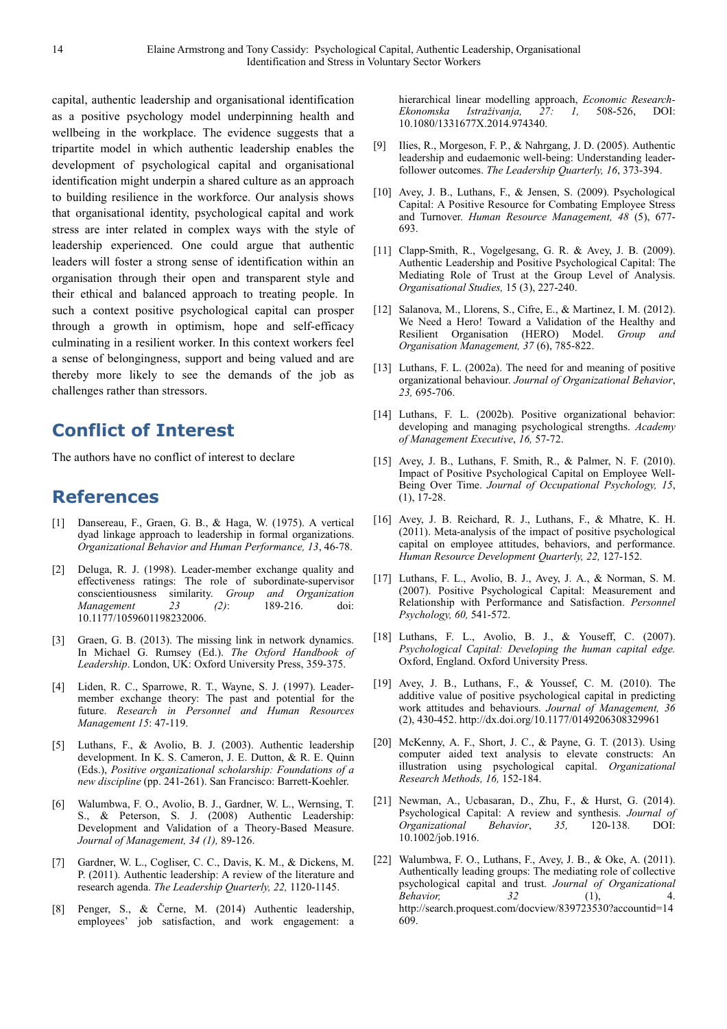capital, authentic leadership and organisational identification as a positive psychology model underpinning health and wellbeing in the workplace. The evidence suggests that a tripartite model in which authentic leadership enables the development of psychological capital and organisational identification might underpin a shared culture as an approach to building resilience in the workforce. Our analysis shows that organisational identity, psychological capital and work stress are inter related in complex ways with the style of leadership experienced. One could argue that authentic leaders will foster a strong sense of identification within an organisation through their open and transparent style and their ethical and balanced approach to treating people. In such a context positive psychological capital can prosper through a growth in optimism, hope and self-efficacy culminating in a resilient worker. In this context workers feel a sense of belongingness, support and being valued and are thereby more likely to see the demands of the job as challenges rather than stressors.

# **Conflict of Interest**

The authors have no conflict of interest to declare

### **References**

- [1] Dansereau, F., Graen, G. B., & Haga, W. (1975). A vertical dyad linkage approach to leadership in formal organizations. *Organizational Behavior and Human Performance, 13*, 46-78.
- [2] Deluga, R. J. (1998). Leader-member exchange quality and effectiveness ratings: The role of subordinate-supervisor conscientiousness similarity. *Group and Organization Management 23 (2)*: 189-216. doi: 10.1177/1059601198232006.
- [3] Graen, G. B. (2013). The missing link in network dynamics. In Michael G. Rumsey (Ed.). *The Oxford Handbook of Leadership*. London, UK: Oxford University Press, 359-375.
- [4] Liden, R. C., Sparrowe, R. T., Wayne, S. J. (1997). Leadermember exchange theory: The past and potential for the future. *Research in Personnel and Human Resources Management 15*: 47-119.
- [5] Luthans, F., & Avolio, B. J. (2003). Authentic leadership development. In K. S. Cameron, J. E. Dutton, & R. E. Quinn (Eds.), *Positive organizational scholarship: Foundations of a new discipline* (pp. 241-261). San Francisco: Barrett-Koehler.
- [6] Walumbwa, F. O., Avolio, B. J., Gardner, W. L., Wernsing, T. S., & Peterson, S. J. (2008) Authentic Leadership: Development and Validation of a Theory-Based Measure. *Journal of Management, 34 (1),* 89-126.
- [7] Gardner, W. L., Cogliser, C. C., Davis, K. M., & Dickens, M. P. (2011). Authentic leadership: A review of the literature and research agenda. *The Leadership Quarterly, 22,* 1120-1145.
- [8] Penger, S., & Černe, M. (2014) Authentic leadership, employees' job satisfaction, and work engagement: a

hierarchical linear modelling approach, *Economic Research-Ekonomska Istraživanja, 27: 1,* 508-526, DOI: 10.1080/1331677X.2014.974340.

- [9] Ilies, R., Morgeson, F. P., & Nahrgang, J. D. (2005). Authentic leadership and eudaemonic well-being: Understanding leaderfollower outcomes. *The Leadership Quarterly, 16*, 373-394.
- [10] Avey, J. B., Luthans, F., & Jensen, S. (2009). Psychological Capital: A Positive Resource for Combating Employee Stress and Turnover. *Human Resource Management, 48* (5), 677- 693.
- [11] Clapp-Smith, R., Vogelgesang, G. R. & Avey, J. B. (2009). Authentic Leadership and Positive Psychological Capital: The Mediating Role of Trust at the Group Level of Analysis. *Organisational Studies,* 15 (3), 227-240.
- [12] Salanova, M., Llorens, S., Cifre, E., & Martinez, I. M. (2012). We Need a Hero! Toward a Validation of the Healthy and Resilient Organisation (HERO) Model. *Group and Organisation Management, 37* (6), 785-822.
- [13] Luthans, F. L. (2002a). The need for and meaning of positive organizational behaviour. *Journal of Organizational Behavior*, *23,* 695-706.
- [14] Luthans, F. L. (2002b). Positive organizational behavior: developing and managing psychological strengths. *Academy of Management Executive*, *16,* 57-72.
- [15] Avey, J. B., Luthans, F. Smith, R., & Palmer, N. F. (2010). Impact of Positive Psychological Capital on Employee Well-Being Over Time. *Journal of Occupational Psychology, 15*, (1), 17-28.
- [16] Avey, J. B. Reichard, R. J., Luthans, F., & Mhatre, K. H. (2011). Meta-analysis of the impact of positive psychological capital on employee attitudes, behaviors, and performance. *Human Resource Development Quarterly, 22,* 127-152.
- [17] Luthans, F. L., Avolio, B. J., Avey, J. A., & Norman, S. M. (2007). Positive Psychological Capital: Measurement and Relationship with Performance and Satisfaction. *Personnel Psychology, 60,* 541-572.
- [18] Luthans, F. L., Avolio, B. J., & Youseff, C. (2007). *Psychological Capital: Developing the human capital edge.* Oxford, England. Oxford University Press.
- [19] Avey, J. B., Luthans, F., & Youssef, C. M. (2010). The additive value of positive psychological capital in predicting work attitudes and behaviours. *Journal of Management, 36*  (2), 430-452. http://dx.doi.org/10.1177/0149206308329961
- [20] McKenny, A. F., Short, J. C., & Payne, G. T. (2013). Using computer aided text analysis to elevate constructs: An illustration using psychological capital. *Organizational Research Methods, 16,* 152-184.
- [21] Newman, A., Ucbasaran, D., Zhu, F., & Hurst, G. (2014). Psychological Capital: A review and synthesis. *Journal of Organizational Behavior*, *35,* 120-138. DOI: 10.1002/job.1916.
- [22] Walumbwa, F. O., Luthans, F., Avey, J. B., & Oke, A. (2011). Authentically leading groups: The mediating role of collective psychological capital and trust. *Journal of Organizational Behavior, 32* (1), 4. http://search.proquest.com/docview/839723530?accountid=14 609.